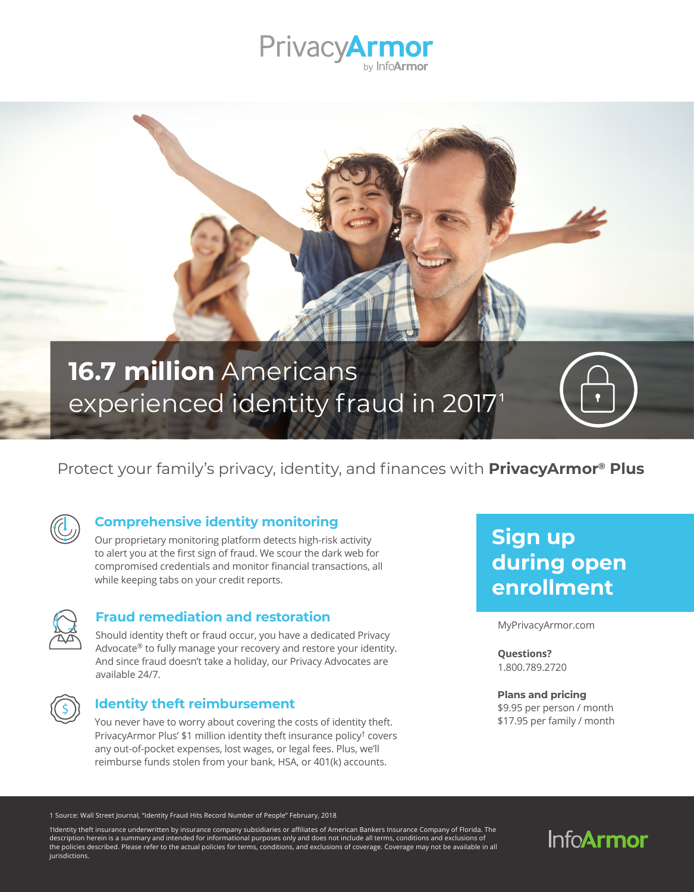

# **16.7 million** Americans experienced identity fraud in 2017<sup>1</sup>

## Protect your family's privacy, identity, and finances with **PrivacyArmor® Plus**



## **Comprehensive identity monitoring**

Our proprietary monitoring platform detects high-risk activity to alert you at the first sign of fraud. We scour the dark web for compromised credentials and monitor financial transactions, all while keeping tabs on your credit reports.



### **Fraud remediation and restoration**

Should identity theft or fraud occur, you have a dedicated Privacy Advocate® to fully manage your recovery and restore your identity. And since fraud doesn't take a holiday, our Privacy Advocates are available 24/7.



## **Identity theft reimbursement**

You never have to worry about covering the costs of identity theft. PrivacyArmor Plus' \$1 million identity theft insurance policy† covers any out-of-pocket expenses, lost wages, or legal fees. Plus, we'll reimburse funds stolen from your bank, HSA, or 401(k) accounts.

## **Sign up during open enrollment**

MyPrivacyArmor.com

**Questions?**  1.800.789.2720

## **Plans and pricing**

\$9.95 per person / month \$17.95 per family / month

1 Source: Wall Street Journal, "Identity Fraud Hits Record Number of People" February, 2018

†Identity theft insurance underwritten by insurance company subsidiaries or affiliates of American Bankers Insurance Company of Florida. The description herein is a summary and intended for informational purposes only and does not include all terms, conditions and exclusions of the policies described. Please refer to the actual policies for terms, conditions, and exclusions of coverage. Coverage may not be available in all jurisdictions.

## **InfoArmor**